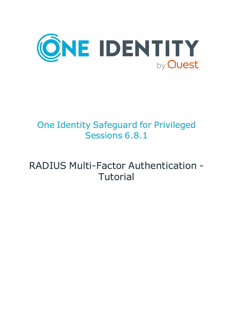

# One Identity Safeguard for Privileged Sessions 6.8.1

# RADIUS Multi-Factor Authentication - **Tutorial**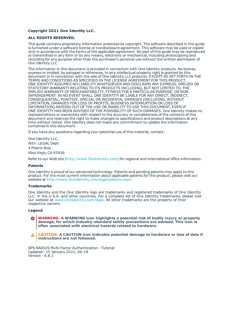#### **Copyright 2021 One Identity LLC.**

#### **ALL RIGHTS RESERVED.**

This guide contains proprietary information protected by copyright. The software described in this guide is furnished under a software license or nondisclosure agreement. This software may be used or copied only in accordance with the terms of the applicable agreement. No part of this guide may be reproduced or transmitted in any form or by any means, electronic or mechanical, including photocopying and recording for any purpose other than the purchaser's personal use without the written permission of One Identity LLC .

The information in this document is provided in connection with One Identity products. No license, express or implied, by estoppel or otherwise, to any intellectual property right is granted by this document or in connection with the sale of One Identity LLC products. EXCEPT AS SET FORTH IN THE TERMS AND CONDITIONS AS SPECIFIED IN THE LICENSE AGREEMENT FOR THIS PRODUCT, ONE IDENTITY ASSUMES NO LIABILITY WHATSOEVER AND DISCLAIMS ANY EXPRESS, IMPLIED OR STATUTORY WARRANTY RELATING TO ITS PRODUCTS INCLUDING, BUT NOT LIMITED TO, THE IMPLIED WARRANTY OF MERCHANTABILITY, FITNESS FOR A PARTICULAR PURPOSE, OR NON-INFRINGEMENT. IN NO EVENT SHALL ONE IDENTITY BE LIABLE FOR ANY DIRECT, INDIRECT, CONSEQUENTIAL, PUNITIVE, SPECIAL OR INCIDENTAL DAMAGES (INCLUDING, WITHOUT LIMITATION, DAMAGES FOR LOSS OF PROFITS, BUSINESS INTERRUPTION OR LOSS OF INFORMATION) ARISING OUT OF THE USE OR INABILITY TO USE THIS DOCUMENT, EVEN IF ONE IDENTITY HAS BEEN ADVISED OF THE POSSIBILITY OF SUCH DAMAGES. One Identity makes no representations or warranties with respect to the accuracy or completeness of the contents of this document and reserves the right to make changes to specifications and product descriptions at any time without notice. One Identity does not make any commitment to update the information contained in this document.

If you have any questions regarding your potential use of this material, contact:

One Identity LLC. Attn: LEGAL Dept 4 Polaris Way Aliso Viejo, CA 92656

Refer to our Web site ([http://www.OneIdentity.com](http://www.oneidentity.com/)) for regional and international office information.

#### **Patents**

One Identity is proud of our advanced technology. Patents and pending patents may apply to this product. For the most current information about applicable patents for this product, please visit our website at [http://www.OneIdentity.com/legal/patents.aspx](http://www.oneidentity.com/legal/patents.aspx).

#### **Trademarks**

One Identity and the One Identity logo are trademarks and registered trademarks of One Identity LLC. in the U.S.A. and other countries. For a complete list of One Identity trademarks, please visit our website at [www.OneIdentity.com/legal](http://www.oneidentity.com/legal). All other trademarks are the property of their respective owners.

#### **Legend**

**WARNING: A WARNING icon highlights a potential risk of bodily injury or property damage, for which industry-standard safety precautions are advised. This icon is often associated with electrical hazards related to hardware.**

**CAUTION: A CAUTION icon indicates potential damage to hardware or loss of data if** A **instructions are not followed.**

SPS RADIUS Multi-Factor Authentication - Tutorial Updated - 15 January 2021, 06:18 Version - 6.8.1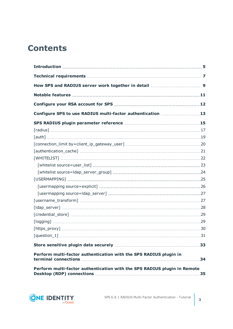## **Contents**

| Configure SPS to use RADIUS multi-factor authentication 13               |    |
|--------------------------------------------------------------------------|----|
|                                                                          |    |
|                                                                          |    |
|                                                                          |    |
|                                                                          |    |
|                                                                          |    |
|                                                                          |    |
|                                                                          |    |
|                                                                          |    |
|                                                                          |    |
|                                                                          |    |
|                                                                          |    |
|                                                                          |    |
|                                                                          |    |
|                                                                          |    |
|                                                                          |    |
|                                                                          |    |
|                                                                          |    |
|                                                                          |    |
| Perform multi-factor authentication with the SPS RADIUS plugin in        |    |
| Perform multi-factor authentication with the SPS RADIUS plugin in Remote | 35 |

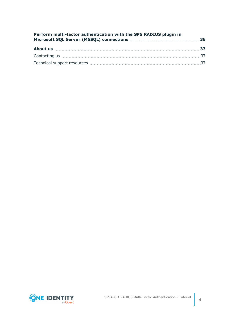| Perform multi-factor authentication with the SPS RADIUS plugin in |  |
|-------------------------------------------------------------------|--|
|                                                                   |  |
|                                                                   |  |
|                                                                   |  |

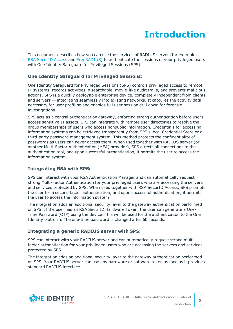# **Introduction**

<span id="page-4-0"></span>This document describes how you can use the services of RADIUS server (for example, RSA [SecurID](https://www.rsa.com/) Access and [FreeRADIUS](https://freeradius.org/)) to authenticate the sessions of your privileged users with One Identity Safeguard for Privileged Sessions (SPS).

### **One Identity Safeguard for Privileged Sessions:**

One Identity Safeguard for Privileged Sessions (SPS) controls privileged access to remote IT systems, records activities in searchable, movie-like audit trails, and prevents malicious actions. SPS is a quickly deployable enterprise device, completely independent from clients and servers — integrating seamlessly into existing networks. It captures the activity data necessary for user profiling and enables full user session drill down for forensic investigations.

SPS acts as a central authentication gateway, enforcing strong authentication before users access sensitive IT assets. SPS can integrate with remote user directories to resolve the group memberships of users who access nonpublic information. Credentials for accessing information systems can be retrieved transparently from SPS's local Credential Store or a third-party password management system. This method protects the confidentiality of passwords as users can never access them. When used together with RADIUS server (or another Multi-Factor Authentication (MFA) provider), SPS directs all connections to the authentication tool, and upon successful authentication, it permits the user to access the information system.

### **Integrating RSA with SPS:**

SPS can interact with your RSA Authentication Manager and can automatically request strong Multi-Factor Authentication for your privileged users who are accessing the servers and services protected by SPS. When used together with RSA SecurID Access, SPS prompts the user for a second factor authentication, and upon successful authentication, it permits the user to access the information system.

The integration adds an additional security layer to the gateway authentication performed on SPS. If the user has an RSA SecurID Hardware Token, the user can generate a One-Time Password (OTP) using the device. This will be used for the authentication to the One Identity platform. The one-time password is changed after 60 seconds.

### **Integrating a generic RADIUS server with SPS:**

SPS can interact with your RADIUS server and can automatically request strong multifactor authentication for your privileged users who are accessing the servers and services protected by SPS.

The integration adds an additional security layer to the gateway authentication performed on SPS. Your RADIUS server can use any hardware or software token as long as it provides standard RADIUS interface.

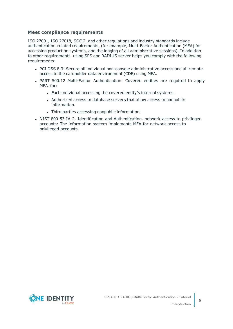### **Meet compliance requirements**

ISO 27001, ISO 27018, SOC 2, and other regulations and industry standards include authentication-related requirements, (for example, Multi-Factor Authentication (MFA) for accessing production systems, and the logging of all administrative sessions). In addition to other requirements, using SPS and RADIUS server helps you comply with the following requirements:

- PCI DSS 8.3: Secure all individual non-console administrative access and all remote access to the cardholder data environment (CDE) using MFA.
- PART 500.12 Multi-Factor Authentication: Covered entities are required to apply MFA for:
	- Each individual accessing the covered entity's internal systems.
	- Authorized access to database servers that allow access to nonpublic information.
	- Third parties accessing nonpublic information.
- NIST 800-53 IA-2, Identification and Authentication, network access to privileged accounts: The information system implements MFA for network access to privileged accounts.

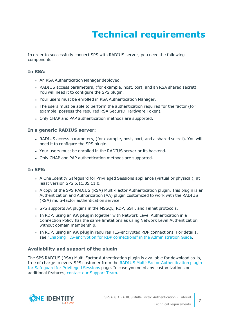# **Technical requirements**

<span id="page-6-0"></span>In order to successfully connect SPS with RADIUS server, you need the following components.

### **In RSA:**

- An RSA Authentication Manager deployed.
- RADIUS access parameters, (for example, host, port, and an RSA shared secret). You will need it to configure the SPS plugin.
- Your users must be enrolled in RSA Authentication Manager.
- The users must be able to perform the authentication required for the factor (for example, possess the required RSA SecurID Hardware Token).
- Only CHAP and PAP authentication methods are supported.

### **In a generic RADIUS server:**

- RADIUS access parameters, (for example, host, port, and a shared secret). You will need it to configure the SPS plugin.
- Your users must be enrolled in the RADIUS server or its backend.
- Only CHAP and PAP authentication methods are supported.

### **In SPS:**

- A One Identity Safequard for Privileged Sessions appliance (virtual or physical), at least version SPS 5.11.05.11.0.
- A copy of the SPS RADIUS (RSA) Multi-Factor Authentication plugin. This plugin is an Authentication and Authorization (AA) plugin customized to work with the RADIUS (RSA) multi-factor authentication service.
- SPS supports AA plugins in the MSSQL, RDP, SSH, and Telnet protocols.
- **.** In RDP, using an AA plugin together with Network Level Authentication in a Connection Policy has the same limitations as using Network Level Authentication without domain membership.
- **In RDP, using an AA plugin requires TLS-encrypted RDP connections. For details,** see "Enabling [TLS-encryption](https://support.oneidentity.com/technical-documents/safeguard-for-privileged-sessions/6.8.1/administration-guide/rdp-specific-settings/enabling-tls-encryption-for-rdp-connections/) for RDP connections" in the Administration Guide.

### **Availability and support of the plugin**

The SPS RADIUS (RSA) Multi-Factor Authentication plugin is available for download as-is, free of charge to every SPS customer from the RADIUS Multi-Factor [Authentication](https://github.com/OneIdentity/safeguard-sessions-plugin-radius-mfa/releases) plugin for [Safeguard](https://github.com/OneIdentity/safeguard-sessions-plugin-radius-mfa/releases) for Privileged Sessions page. In case you need any customizations or additional features, contact our [Support](https://support.oneidentity.com/one-identity-safeguard-for-privileged-sessions) Team.

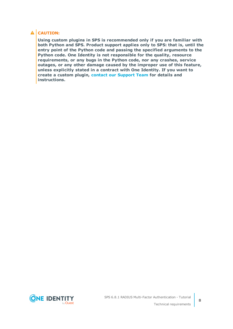### **A** CAUTION:

**Using custom plugins in SPS is recommended only if you are familiar with both Python and SPS. Product support applies only to SPS: that is, until the entry point of the Python code and passing the specified arguments to the Python code. One Identity is not responsible for the quality, resource requirements, or any bugs in the Python code, nor any crashes, service outages, or any other damage caused by the improper use of this feature, unless explicitly stated in a contract with One Identity. If you want to create a custom plugin, contact our [Support](https://support.oneidentity.com/one-identity-safeguard-for-privileged-sessions) Team for details and instructions.**

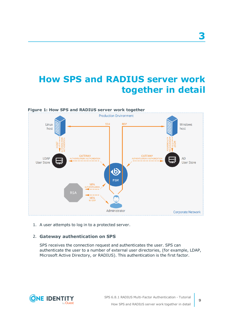## <span id="page-8-0"></span>**How SPS and RADIUS server work together in detail**



1. A user attempts to log in to a protected server.

### 2. **Gateway authentication on SPS**

SPS receives the connection request and authenticates the user. SPS can authenticate the user to a number of external user directories, (for example, LDAP, Microsoft Active Directory, or RADIUS). This authentication is the first factor.



**3**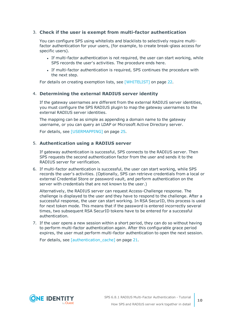### 3. **Check if the user is exempt from multi-factor authentication**

You can configure SPS using whitelists and blacklists to selectively require multifactor authentication for your users, (for example, to create break-glass access for specific users).

- If multi-factor authentication is not required, the user can start working, while SPS records the user's activities. The procedure ends here.
- If multi-factor authentication is required, SPS continues the procedure with the next step.

For details on creating exemption lists, see [\[WHITELIST\]](#page-21-0) on page 22.

### 4. **Determining the external RADIUS server identity**

If the gateway usernames are different from the external RADIUS server identities, you must configure the SPS RADIUS plugin to map the gateway usernames to the external RADIUS server identities.

The mapping can be as simple as appending a domain name to the gateway username, or you can query an LDAP or Microsoft Active Directory server.

For details, see [\[USERMAPPING\]](#page-24-0) on page 25.

### 5. **Authentication using a RADIUS server**

If gateway authentication is successful, SPS connects to the RADIUS server. Then SPS requests the second authentication factor from the user and sends it to the RADIUS server for verification.

6. If multi-factor authentication is successful, the user can start working, while SPS records the user's activities. (Optionally, SPS can retrieve credentials from a local or external Credential Store or password vault, and perform authentication on the server with credentials that are not known to the user.)

Alternatively, the RADIUS server can request Access-Challenge response. The challenge is displayed to the user and they have to respond to the challenge. After a successful response, the user can start working. In RSA SecurID, this process is used for next token mode. This means that if the password is entered incorrectly several times, two subsequent RSA SecurID tokens have to be entered for a successful authentication.

7. If the user opens a new session within a short period, they can do so without having to perform multi-factor authentication again. After this configurable grace period expires, the user must perform multi-factor authentication to open the next session.

For details, see [authentication cache] on page 21.

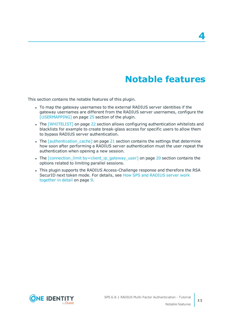## **Notable features**

<span id="page-10-0"></span>This section contains the notable features of this plugin.

- To map the gateway usernames to the external RADIUS server identities if the gateway usernames are different from the RADIUS server usernames, configure the [\[USERMAPPING\]](#page-24-0) on page 25 section of the plugin.
- The [\[WHITELIST\]](#page-21-0) on page 22 section allows configuring authentication whitelists and blacklists for example to create break-glass access for specific users to allow them to bypass RADIUS server authentication.
- The *[authentication cache]* on page 21 section contains the settings that determine how soon after performing a RADIUS server authentication must the user repeat the authentication when opening a new session.
- The [connection\_limit [by=client\\_ip\\_gateway\\_user\]](#page-19-0) on page 20 section contains the options related to limiting parallel sessions.
- This plugin supports the RADIUS Access-Challenge response and therefore the RSA SecurID next token mode. For details, see How SPS and [RADIUS](#page-8-0) server work [together](#page-8-0) in detail on page 9.



**4**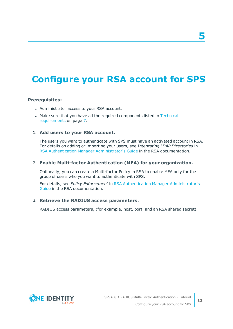# **5**

## <span id="page-11-0"></span>**Configure your RSA account for SPS**

### **Prerequisites:**

- Administrator access to your RSA account.
- Make sure that you have all the required components listed in [Technical](#page-6-0) [requirements](#page-6-0) on page 7.

### 1. **Add users to your RSA account.**

The users you want to authenticate with SPS must have an activated account in RSA. For details on adding or importing your users, see *Integrating LDAP Directories* in RSA Authentication Manager [Administrator's](https://community.rsa.com/community/products/securid/securid-access/content?filterID=contentstatus%5Bpublished%5D~objecttype~objecttype%5Bdocument%5D) Guide in the RSA documentation.

### 2. **Enable Multi-factor Authentication (MFA) for your organization.**

Optionally, you can create a Multi-factor Policy in RSA to enable MFA only for the group of users who you want to authenticate with SPS.

For details, see *Policy Enforcement* in RSA Authentication Manager [Administrator's](https://community.rsa.com/community/products/securid/securid-access/content?filterID=contentstatus%5Bpublished%5D~objecttype~objecttype%5Bdocument%5D) [Guide](https://community.rsa.com/community/products/securid/securid-access/content?filterID=contentstatus%5Bpublished%5D~objecttype~objecttype%5Bdocument%5D) in the RSA documentation.

### 3. **Retrieve the RADIUS access parameters.**

RADIUS access parameters, (for example, host, port, and an RSA shared secret).

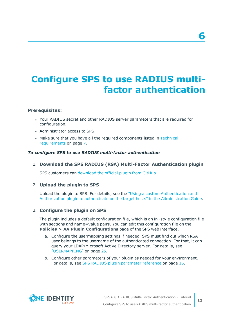# <span id="page-12-0"></span>**Configure SPS to use RADIUS multifactor authentication**

### **Prerequisites:**

- Your RADIUS secret and other RADIUS server parameters that are required for configuration.
- Administrator access to SPS.
- Make sure that you have all the required components listed in [Technical](#page-6-0) [requirements](#page-6-0) on page 7.

### *To configure SPS to use RADIUS multi-factor authentication*

1. **Download the SPS RADIUS (RSA) Multi-Factor Authentication plugin**

SPS customers can [download](https://github.com/OneIdentity/safeguard-sessions-plugin-radius-mfa/releases) the official plugin from GitHub.

### 2. **Upload the plugin to SPS**

Upload the plugin to SPS. For details, see the "Using a custom [Authentication](https://support.oneidentity.com/technical-documents/safeguard-for-privileged-sessions/6.8.1/administration-guide/advanced-authentication-and-authorization-techniques/integrating-external-authentication-and-authorization-systems/using-a-custom-authentication-and-authorization-plugin-to-authenticate-on-the-target-hosts/) and Authorization plugin to authenticate on the target hosts" in the [Administration](https://support.oneidentity.com/technical-documents/safeguard-for-privileged-sessions/6.8.1/administration-guide/advanced-authentication-and-authorization-techniques/integrating-external-authentication-and-authorization-systems/using-a-custom-authentication-and-authorization-plugin-to-authenticate-on-the-target-hosts/) Guide.

### 3. **Configure the plugin on SPS**

The plugin includes a default configuration file, which is an ini-style configuration file with sections and name=value pairs. You can edit this configuration file on the **Policies > AA Plugin Configurations** page of the SPS web interface.

- a. Configure the usermapping settings if needed. SPS must find out which RSA user belongs to the username of the authenticated connection. For that, it can query your LDAP/Microsoft Active Directory server. For details, see [\[USERMAPPING\]](#page-24-0) on page 25.
- b. Configure other parameters of your plugin as needed for your environment. For details, see SPS RADIUS plugin [parameter](#page-14-0) reference on page 15.



**6**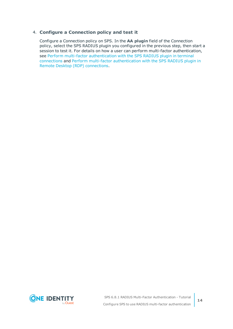### 4. **Configure a Connection policy and test it**

Configure a Connection policy on SPS. In the **AA plugin** field of the Connection policy, select the SPS RADIUS plugin you configured in the previous step, then start a session to test it. For details on how a user can perform multi-factor authentication, see Perform multi-factor [authentication](#page-33-0) with the SPS RADIUS plugin in terminal [connections](#page-33-0) and Perform multi-factor [authentication](#page-34-0) with the SPS RADIUS plugin in Remote Desktop (RDP) [connections.](#page-34-0)

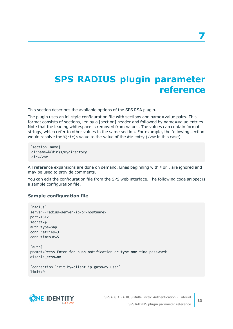## <span id="page-14-0"></span>**SPS RADIUS plugin parameter reference**

This section describes the available options of the SPS RSA plugin.

The plugin uses an ini-style configuration file with sections and name=value pairs. This format consists of sections, led by a [section] header and followed by name=value entries. Note that the leading whitespace is removed from values. The values can contain format strings, which refer to other values in the same section. For example, the following section would resolve the %(dir)s value to the value of the dir entry (/var in this case).

```
[section name]
dirname=%(dir)s/mydirectory
dir=/var
```
All reference expansions are done on demand. Lines beginning with # or ; are ignored and may be used to provide comments.

You can edit the configuration file from the SPS web interface. The following code snippet is a sample configuration file.

### **Sample configuration file**

```
[radius]
server=<radius-server-ip-or-hostname>
port=1812
secret=$
auth_type=pap
conn_retries=3
conn_timeout=5
[auth]
prompt=Press Enter for push notification or type one-time password:
disable_echo=no
[connection_limit by=client_ip_gateway_user]
limit=0
```


**15**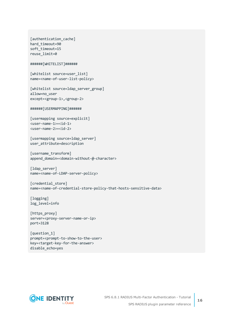```
[authentication_cache]
hard timeout=90
soft_timeout=15
reuse_limit=0
######[WHITELIST]######
[whitelist source=user_list]
name=<name-of-user-list-policy>
[whitelist source=ldap server group]
allow=no_user
except=<group-1>,<group-2>
######[USERMAPPING]######
[usermapping source=explicit]
<user-name-1>=<id-1>
<user-name-2>=<id-2>
[usermapping source=ldap_server]
user attribute=description
[username transform]
append_domain=<domain-without-@-character>
[ldap_server]
name=<name-of-LDAP-server-policy>
[credential_store]
name=<name-of-credential-store-policy-that-hosts-sensitive-data>
[logging]
log_level=info
[https_proxy]
server=<proxy-server-name-or-ip>
port=3128
[question_1]
prompt=<prompt-to-show-to-the-user>
```
key=<target-key-for-the-answer> disable\_echo=yes

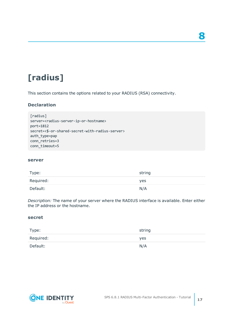# <span id="page-16-0"></span>**[radius]**

This section contains the options related to your RADIUS (RSA) connectivity.

### **Declaration**

```
[radius]
server=<radius-server-ip-or-hostname>
port=1812
secret=<$-or-shared-secret-with-radius-server>
auth type=pap
conn_retries=3
conn_timeout=5
```
### **server**

| Type:     | string |
|-----------|--------|
| Required: | yes    |
| Default:  | N/A    |

*Description:* The name of your server where the RADIUS interface is available. Enter either the IP address or the hostname.

### <span id="page-16-1"></span>**secret**

| Type:     | string |
|-----------|--------|
| Required: | yes    |
| Default:  | N/A    |



**8**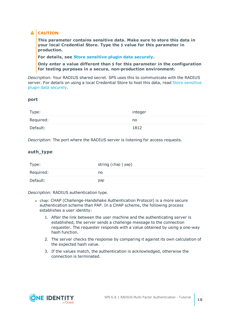### **A** CAUTION:

**This parameter contains sensitive data. Make sure to store this data in your local Credential Store. Type the \$ value for this parameter in production.**

**For details, see Store [sensitive](#page-32-0) plugin data securely.**

**Only enter a value different than \$ for this parameter in the configuration for testing purposes in a secure, non-production environment.**

*Description:* Your RADIUS shared secret. SPS uses this to communicate with the RADIUS server. For details on using a local Credential Store to host this data, read Store [sensitive](#page-32-0) plugin data [securely](#page-32-0).

### **port**

| Type:     | integer |
|-----------|---------|
| Required: | no      |
| Default:  | 1812    |

*Description:* The port where the RADIUS server is listening for access requests.

### **auth\_type**

| Type:     | string $(char   pap)$ |
|-----------|-----------------------|
| Required: | no                    |
| Default:  | pap                   |

*Description:* RADIUS authentication type.

- chap: CHAP (Challenge-Handshake Authentication Protocol) is a more secure authentication scheme than PAP. In a CHAP scheme, the following process establishes a user identity:
	- 1. After the link between the user machine and the authenticating server is established, the server sends a challenge message to the connection requester. The requester responds with a value obtained by using a one-way hash function.
	- 2. The server checks the response by comparing it against its own calculation of the expected hash value.
	- 3. If the values match, the authentication is acknowledged, otherwise the connection is terminated.

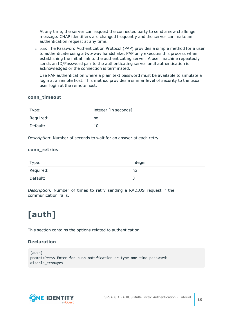At any time, the server can request the connected party to send a new challenge message. CHAP identifiers are changed frequently and the server can make an authentication request at any time.

• pap: The Password Authentication Protocol (PAP) provides a simple method for a user to authenticate using a two-way handshake. PAP only executes this process when establishing the initial link to the authenticating server. A user machine repeatedly sends an ID/Password pair to the authenticating server until authentication is acknowledged or the connection is terminated.

Use PAP authentication where a plain text password must be available to simulate a login at a remote host. This method provides a similar level of security to the usual user login at the remote host.

### **conn\_timeout**

| Type:     | integer [in seconds] |
|-----------|----------------------|
| Required: | no                   |
| Default:  | 10                   |

*Description:* Number of seconds to wait for an answer at each retry.

### **conn\_retries**

| Type:     | integer |
|-----------|---------|
| Required: | no      |
| Default:  | ی       |

*Description:* Number of times to retry sending a RADIUS request if the communication fails.

# <span id="page-18-0"></span>**[auth]**

This section contains the options related to authentication.

### **Declaration**

```
[auth]
prompt=Press Enter for push notification or type one-time password:
disable_echo=yes
```
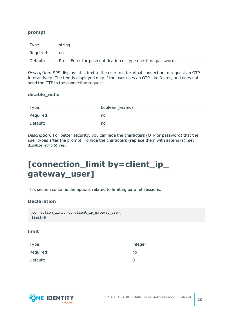### **prompt**

| Type:     | string                                                       |
|-----------|--------------------------------------------------------------|
| Required: | no                                                           |
| Default:  | Press Enter for push notification or type one-time password: |

*Description:* SPS displays this text to the user in a terminal connection to request an OTP interactively. The text is displayed only if the user uses an OTP-like factor, and does not send the OTP in the connection request.

### **disable\_echo**

| Type:     | boolean (yes no) |
|-----------|------------------|
| Required: | no               |
| Default:  | no               |

*Description:* For better security, you can hide the characters (OTP or password) that the user types after the prompt. To hide the characters (replace them with asterisks), set disable\_echo to yes.

## <span id="page-19-0"></span>**[connection\_limit by=client\_ip\_ gateway\_user]**

This section contains the options related to limiting parallel sessions.

### **Declaration**

```
[connection_limit by=client_ip_gateway_user]
limit=0
```
### **limit**

| Type:     | integer |
|-----------|---------|
| Required: | no      |
| Default:  |         |

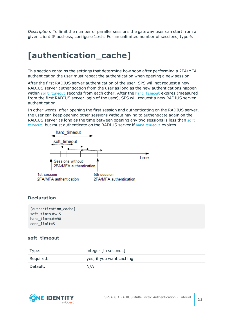*Description:* To limit the number of parallel sessions the gateway user can start from a given client IP address, configure limit. For an unlimited number of sessions, type 0.

## <span id="page-20-0"></span>**[authentication\_cache]**

This section contains the settings that determine how soon after performing a 2FA/MFA authentication the user must repeat the authentication when opening a new session.

After the first RADIUS server authentication of the user, SPS will not request a new RADIUS server authentication from the user as long as the new authentications happen within soft timeout seconds from each other. After the hard timeout expires (measured from the first RADIUS server login of the user), SPS will request a new RADIUS server authentication.

In other words, after opening the first session and authenticating on the RADIUS server, the user can keep opening other sessions without having to authenticate again on the RADIUS server as long as the time between opening any two sessions is less than soft [timeout](#page-20-1), but must authenticate on the RADIUS server if hard timeout expires.



### **Declaration**

```
[authentication_cache]
soft_timeout=15
hard_timeout=90
conn_limit=5
```
### <span id="page-20-1"></span>**soft\_timeout**

| Type:     | integer [in seconds]     |
|-----------|--------------------------|
| Required: | yes, if you want caching |
| Default:  | N/A                      |

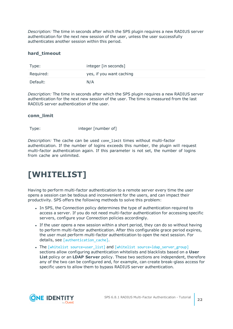*Description:* The time in seconds after which the SPS plugin requires a new RADIUS server authentication for the next new session of the user, unless the user successfully authenticates another session within this period.

### <span id="page-21-1"></span>**hard\_timeout**

| Type:     | integer [in seconds]     |
|-----------|--------------------------|
| Required: | yes, if you want caching |
| Default:  | N/A                      |

*Description:* The time in seconds after which the SPS plugin requires a new RADIUS server authentication for the next new session of the user. The time is measured from the last RADIUS server authentication of the user.

### **conn\_limit**

Type: Type: integer [number of]

*Description:* The cache can be used conn\_limit times without multi-factor authentication. If the number of logins exceeds this number, the plugin will request multi-factor authentication again. If this parameter is not set, the number of logins from cache are unlimited.

## <span id="page-21-0"></span>**[WHITELIST]**

Having to perform multi-factor authentication to a remote server every time the user opens a session can be tedious and inconvenient for the users, and can impact their productivity. SPS offers the following methods to solve this problem:

- In SPS, the Connection policy determines the type of authentication required to access a server. If you do not need multi-factor authentication for accessing specific servers, configure your Connection policies accordingly.
- If the user opens a new session within a short period, they can do so without having to perform multi-factor authentication. After this configurable grace period expires, the user must perform multi-factor authentication to open the next session. For details, see [authentication cache].
- The [whitelist source=user list] and [whitelist source=ldap server group] sections allow configuring authentication whitelists and blacklists based on a **User List** policy or an **LDAP Server** policy. These two sections are independent, therefore any of the two can be configured and, for example, can create break-glass access for specific users to allow them to bypass RADIUS server authentication.

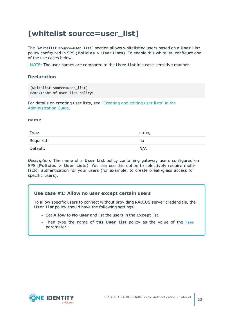### <span id="page-22-0"></span>**[whitelist source=user\_list]**

The [whitelist source=user\_list] section allows whitelisting users based on a **User List** policy configured in SPS (**Policies > User Lists**). To enable this whitelist, configure one of the use cases below.

NOTE: The user names are compared to the **User List** in a case-sensitive manner.

### **Declaration**

```
[whitelist source=user list]
name=<name-of-user-list-policy>
```
For details on creating user lists, see ["Creating](https://support.oneidentity.com/technical-documents/safeguard-for-privileged-sessions/6.8.1/administration-guide/general-connection-settings/creating-and-editing-user-lists/) and editing user lists" in the [Administration](https://support.oneidentity.com/technical-documents/safeguard-for-privileged-sessions/6.8.1/administration-guide/general-connection-settings/creating-and-editing-user-lists/) Guide.

### <span id="page-22-1"></span>**name**

| Type:     | string |
|-----------|--------|
| Required: | no     |
| Default:  | N/A    |

*Description:* The name of a **User List** policy containing gateway users configured on SPS (**Policies > User Lists**). You can use this option to selectively require multifactor authentication for your users (for example, to create break-glass access for specific users).

### **Use case #1: Allow no user except certain users**

To allow specific users to connect without providing RADIUS server credentials, the **User List** policy should have the following settings:

- <sup>l</sup> Set **Allow** to **No user** and list the users in the **Except** list.
- **.** Then type the [name](#page-22-1) of this **User List** policy as the value of the name parameter.

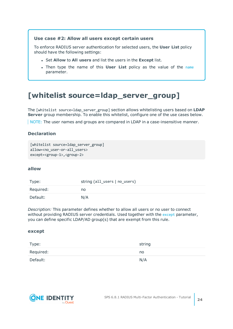### **Use case #2: Allow all users except certain users**

To enforce RADIUS server authentication for selected users, the **User List** policy should have the following settings:

- <sup>l</sup> Set **Allow** to **All users** and list the users in the **Except** list.
- **.** Then type the [name](#page-22-1) of this **User List** policy as the value of the name parameter.

### <span id="page-23-0"></span>**[whitelist source=ldap\_server\_group]**

The [whitelist source=ldap\_server\_group] section allows whitelisting users based on **LDAP Server** group membership. To enable this whitelist, configure one of the use cases below.

NOTE: The user names and groups are compared in LDAP in a case-insensitive manner.

### **Declaration**

```
[whitelist source=1dap server group]
allow=<no user-or-all users>
except=<group-1>,<group-2>
```
### <span id="page-23-2"></span>**allow**

| Type:     | string (all_users   no_users) |
|-----------|-------------------------------|
| Required: | no                            |
| Default:  | N/A                           |

*Description:* This parameter defines whether to allow all users or no user to connect without providing RADIUS server credentials. Used together with the [except](#page-23-1) parameter, you can define specific LDAP/AD group(s) that are exempt from this rule.

### <span id="page-23-1"></span>**except**

| Type:     | string |
|-----------|--------|
| Required: | no     |
| Default:  | N/A    |

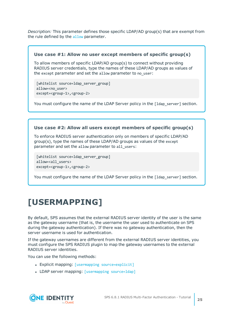*Description:* This parameter defines those specific LDAP/AD group(s) that are exempt from the rule defined by the [allow](#page-23-2) parameter.

### **Use case #1: Allow no user except members of specific group(s)**

To allow members of specific LDAP/AD group(s) to connect without providing RADIUS server credentials, type the names of these LDAP/AD groups as values of the except parameter and set the allow parameter to no\_user:

[whitelist source=ldap server group] allow=<no\_user> except=<group-1>,<group-2>

You must configure the name of the LDAP Server policy in the [1dap\_server] section.

### **Use case #2: Allow all users except members of specific group(s)**

To enforce RADIUS server authentication only on members of specific LDAP/AD group(s), type the names of these LDAP/AD groups as values of the except parameter and set the allow parameter to all users:

[whitelist source=ldap server group] allow=<all users> except=<group-1>,<group-2>

You must configure the name of the LDAP Server policy in the [1dap\_server] section.

## <span id="page-24-0"></span>**[USERMAPPING]**

By default, SPS assumes that the external RADIUS server identity of the user is the same as the gateway username (that is, the username the user used to authenticate on SPS during the gateway authentication). If there was no gateway authentication, then the server username is used for authentication.

If the gateway usernames are different from the external RADIUS server identities, you must configure the SPS RADIUS plugin to map the gateway usernames to the external RADIUS server identities.

You can use the following methods:

- Explicit mapping: [usermapping [source=explicit\]](#page-25-0)
- LDAP server mapping: [\[usermapping](#page-26-0) source=ldap]

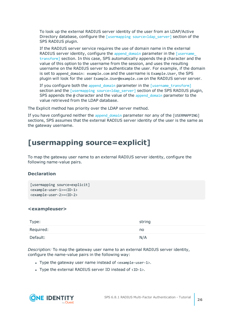To look up the external RADIUS server identity of the user from an LDAP/Active Directory database, configure the [usermapping source=1dap server] section of the SPS RADIUS plugin.

If the RADIUS server service requires the use of domain name in the external RADIUS server identity, configure the append domain parameter in the  $[username]$ [transform\]](#page-26-1) section. In this case, SPS automatically appends the  $\omega$  character and the value of this option to the username from the session, and uses the resulting username on the RADIUS server to authenticate the user. For example, if the domain is set to append\_domain: example.com and the username is Example.User, the SPS plugin will look for the user Example.User@example.com on the RADIUS server server.

If you configure both the append domain parameter in the [\[username\\_transform\]](#page-26-1) section and the [usermapping [source=ldap\\_server\]](#page-26-0) section of the SPS RADIUS plugin, SPS appends the  $\omega$  character and the value of the append domain parameter to the value retrieved from the LDAP database.

The Explicit method has priority over the LDAP server method.

If you have configured neither the append domain parameter nor any of the [USERMAPPING] sections, SPS assumes that the external RADIUS server identity of the user is the same as the gateway username.

### <span id="page-25-0"></span>**[usermapping source=explicit]**

To map the gateway user name to an external RADIUS server identity, configure the following name-value pairs.

### **Declaration**

```
[usermapping source=explicit]
<example-user-1>=<ID-1>
<example-user-2>=<ID-2>
```
### **<exampleuser>**

| Type:     | string |
|-----------|--------|
| Required: | no     |
| Default:  | N/A    |

*Description:* To map the gateway user name to an external RADIUS server identity, configure the name-value pairs in the following way:

- Type the gateway user name instead of  $\epsilon$ example-user-1>.
- Type the external RADIUS server ID instead of <ID-1>.

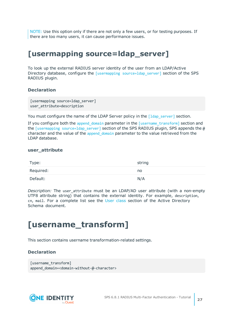NOTE: Use this option only if there are not only a few users, or for testing purposes. If there are too many users, it can cause performance issues.

### <span id="page-26-0"></span>**[usermapping source=ldap\_server]**

To look up the external RADIUS server identity of the user from an LDAP/Active Directory database, configure the [usermapping [source=ldap\\_server\]](#page-26-0) section of the SPS RADIUS plugin.

### **Declaration**

```
[usermapping source=ldap_server]
user attribute=description
```
You must configure the name of the LDAP Server policy in the  $\lceil 1 \text{dap server} \rceil$  section.

If you configure both the [append\\_domain](#page-27-1) parameter in the [\[username\\_transform\]](#page-26-1) section and the [usermapping source=ldap server] section of the SPS RADIUS plugin, SPS appends the  $\omega$ character and the value of the append domain parameter to the value retrieved from the LDAP database.

#### **user\_attribute**

| Type:     | string |
|-----------|--------|
| Required: | no     |
| Default:  | N/A    |

*Description:* The user\_attribute must be an LDAP/AD user attribute (with a non-empty UTF8 attribute string) that contains the external identity. For example, description, cn, mail. For a complete list see the User [class](https://docs.microsoft.com/en-gb/windows/desktop/ADSchema/c-user) section of the Active Directory Schema document.

### <span id="page-26-1"></span>**[username\_transform]**

This section contains username transformation-related settings.

### **Declaration**

```
[username transform]
append_domain=<domain-without-@-character>
```
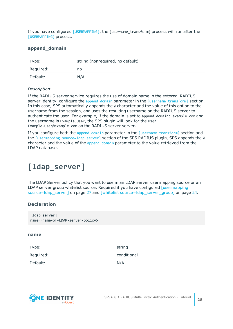If you have configured [\[USERMAPPING\]](#page-24-0), the [username\_transform] process will run after the [\[USERMAPPING\]](#page-24-0) process.

### <span id="page-27-1"></span>**append\_domain**

| Type:     | string (nonrequired, no default) |
|-----------|----------------------------------|
| Required: | no                               |
| Default:  | N/A                              |

### *Description:*

If the RADIUS server service requires the use of domain name in the external RADIUS server identity, configure the [append\\_domain](#page-27-1) parameter in the [username transform] section. In this case, SPS automatically appends the @ character and the value of this option to the username from the session, and uses the resulting username on the RADIUS server to authenticate the user. For example, if the domain is set to append domain: example.com and the username is Example.User, the SPS plugin will look for the user Example.User@example.com on the RADIUS server server.

If you configure both the [append\\_domain](#page-27-1) parameter in the [\[username\\_transform\]](#page-26-1) section and the [usermapping source=1dap\_server] section of the SPS RADIUS plugin, SPS appends the  $\omega$ character and the value of the append domain parameter to the value retrieved from the LDAP database.

### <span id="page-27-0"></span>**[ldap\_server]**

The LDAP Server policy that you want to use in an LDAP server usermapping source or an LDAP server group whitelist source. Required if you have configured [\[usermapping](#page-26-0) [source=ldap\\_server\]](#page-26-0) on page 27 and [whitelist [source=ldap\\_server\\_group\]](#page-23-0) on page 24.

### **Declaration**

```
[ldap_server]
name=<name-of-LDAP-server-policy>
```
### **name**

| Type:     | string      |
|-----------|-------------|
| Required: | conditional |
| Default:  | N/A         |

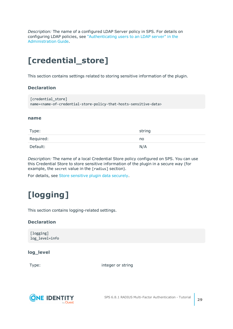*Description:* The name of a configured LDAP Server policy in SPS. For details on configuring LDAP policies, see ["Authenticating](https://support.oneidentity.com/technical-documents/safeguard-for-privileged-sessions/6.8.1/administration-guide/general-connection-settings/authenticating-users-to-an-ldap-server/) users to an LDAP server" in the [Administration](https://support.oneidentity.com/technical-documents/safeguard-for-privileged-sessions/6.8.1/administration-guide/general-connection-settings/authenticating-users-to-an-ldap-server/) Guide.

## <span id="page-28-0"></span>**[credential\_store]**

This section contains settings related to storing sensitive information of the plugin.

### **Declaration**

```
[credential store]
name=<name-of-credential-store-policy-that-hosts-sensitive-data>
```
### <span id="page-28-2"></span>**name**

| Type:     | string |
|-----------|--------|
| Required: | no     |
| Default:  | N/A    |

*Description:* The name of a local Credential Store policy configured on SPS. You can use this Credential Store to store sensitive information of the plugin in a secure way (for example, the secret value in the [radius] section).

<span id="page-28-1"></span>For details, see Store [sensitive](#page-32-0) plugin data securely.

## **[logging]**

This section contains logging-related settings.

### **Declaration**

[logging] log\_level=info

### **log\_level**

Type: Type: Type: Type: Type: Type: Type: Type: Type: Type: Type: Type: Type: Type: Type: Type: Type: Type: Type: Type: Type: Type: Type: Type: Type: Type: Type: Type: Type: Type: Type: Type: Type: Type: Type: Type: Type:

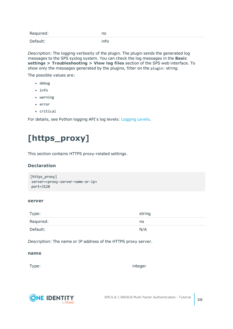| Required: | no   |
|-----------|------|
| Default:  | info |

*Description:* The logging verbosity of the plugin. The plugin sends the generated log messages to the SPS syslog system. You can check the log messages in the **Basic settings > Troubleshooting > View log files** section of the SPS web interface. To show only the messages generated by the plugins, filter on the plugin: string.

The possible values are:

- debug
- $\cdot$  info
- $\bullet$  warning
- $\cdot$  error
- critical

<span id="page-29-0"></span>For details, see Python logging API's log levels: [Logging](https://docs.python.org/2/library/logging.html#logging-levels) Levels.

## **[https\_proxy]**

This section contains HTTPS proxy-related settings.

### **Declaration**

```
[https_proxy]
server=<proxy-server-name-or-ip>
port=3128
```
### **server**

| Type:     | string |
|-----------|--------|
| Required: | no     |
| Default:  | N/A    |

*Description:* The name or IP address of the HTTPS proxy server.

### **name**

Type: the contract of the contract of the contract of the contract of the contract of the contract of the contract of the contract of the contract of the contract of the contract of the contract of the contract of the cont

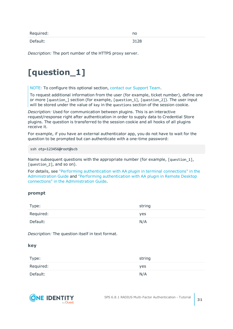| Required: | no   |
|-----------|------|
| Default:  | 3128 |

<span id="page-30-0"></span>*Description:* The port number of the HTTPS proxy server.

## **[question\_1]**

NOTE: To configure this optional section, contact our [Support](https://support.oneidentity.com/one-identity-safeguard-for-privileged-sessions) Team.

To request additional information from the user (for example, ticket number), define one or more [question\_] section (for example, [question\_1], [question\_2]). The user input will be stored under the value of key in the questions section of the session cookie.

*Description:* Used for communication between plugins. This is an interactive request/response right after authentication in order to supply data to Credential Store plugins. The question is transferred to the session cookie and all hooks of all plugins receive it.

For example, if you have an external authenticator app, you do not have to wait for the question to be prompted but can authenticate with a one-time password:

ssh otp=123456@root@scb

Name subsequent questions with the appropriate number (for example, [question\_1], [question\_2], and so on).

For details, see "Performing [authentication](https://support.oneidentity.com/technical-documents/safeguard-for-privileged-sessions/6.8.1/administration-guide/advanced-authentication-and-authorization-techniques/integrating-external-authentication-and-authorization-systems/performing-authentication-with-aa-plugin-in-terminal-connections/) with AA plugin in terminal connections" in the [Administration](https://support.oneidentity.com/technical-documents/safeguard-for-privileged-sessions/6.8.1/administration-guide/advanced-authentication-and-authorization-techniques/integrating-external-authentication-and-authorization-systems/performing-authentication-with-aa-plugin-in-terminal-connections/) Guide and "Performing [authentication](https://support.oneidentity.com/technical-documents/safeguard-for-privileged-sessions/6.8.1/administration-guide/advanced-authentication-and-authorization-techniques/integrating-external-authentication-and-authorization-systems/performing-authentication-with-aa-plugin-in-remote-desktop-connections/) with AA plugin in Remote Desktop connections" in the [Administration](https://support.oneidentity.com/technical-documents/safeguard-for-privileged-sessions/6.8.1/administration-guide/advanced-authentication-and-authorization-techniques/integrating-external-authentication-and-authorization-systems/performing-authentication-with-aa-plugin-in-remote-desktop-connections/) Guide.

### **prompt**

| Type:     | string |
|-----------|--------|
| Required: | yes    |
| Default:  | N/A    |

*Description:* The question itself in text format.

### **key**

| Type:     | string     |
|-----------|------------|
| Required: | <b>yes</b> |
| Default:  | N/A        |

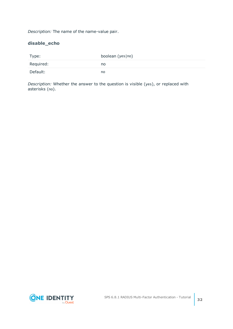*Description:* The name of the name-value pair.

### **disable\_echo**

| Type:     | boolean (yes no) |
|-----------|------------------|
| Required: | no               |
| Default:  | no               |

*Description:* Whether the answer to the question is visible (yes), or replaced with asterisks (no).

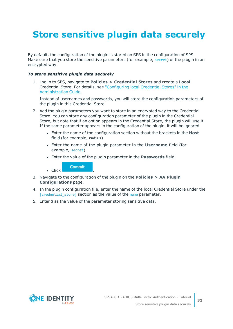# <span id="page-32-0"></span>**Store sensitive plugin data securely**

By default, the configuration of the plugin is stored on SPS in the configuration of SPS. Make sure that you store the sensitive parameters (for example, [secret](#page-16-1)) of the plugin in an encrypted way.

### *To store sensitive plugin data securely*

1. Log in to SPS, navigate to **Policies > Credential Stores** and create a **Local** Credential Store. For details, see ["Configuring](https://support.oneidentity.com/technical-documents/safeguard-for-privileged-sessions/6.8.1/administration-guide/advanced-authentication-and-authorization-techniques/using-credential-stores-for-server-side-authentication/configuring-local-credential-stores/) local Credential Stores" in the [Administration](https://support.oneidentity.com/technical-documents/safeguard-for-privileged-sessions/6.8.1/administration-guide/advanced-authentication-and-authorization-techniques/using-credential-stores-for-server-side-authentication/configuring-local-credential-stores/) Guide.

Instead of usernames and passwords, you will store the configuration parameters of the plugin in this Credential Store.

- 2. Add the plugin parameters you want to store in an encrypted way to the Credential Store. You can store any configuration parameter of the plugin in the Credential Store, but note that if an option appears in the Credential Store, the plugin will use it. If the same parameter appears in the configuration of the plugin, it will be ignored.
	- **.** Enter the name of the configuration section without the brackets in the Host field (for example, radius).
	- <sup>l</sup> Enter the name of the plugin parameter in the **Username** field (for example, [secret](#page-16-1)).
	- <sup>l</sup> Enter the value of the plugin parameter in the **Passwords** field.

**Commit** 

 $\blacksquare$  Click

- 3. Navigate to the configuration of the plugin on the **Policies > AA Plugin Configurations** page.
- 4. In the plugin configuration file, enter the name of the local Credential Store under the [\[credential\\_store\]](#page-28-0) section as the value of the [name](#page-28-2) parameter.
- 5. Enter  $$$  as the value of the parameter storing sensitive data.

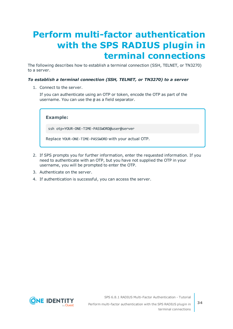# <span id="page-33-0"></span>**Perform multi-factor authentication with the SPS RADIUS plugin in terminal connections**

The following describes how to establish a terminal connection (SSH, TELNET, or TN3270) to a server.

### *To establish a terminal connection (SSH, TELNET, or TN3270) to a server*

1. Connect to the server.

If you can authenticate using an OTP or token, encode the OTP as part of the username. You can use the @ as a field separator.

**Example:**

ssh otp=YOUR-ONE-TIME-PASSWORD@user@server

Replace YOUR-ONE-TIME-PASSWORD with your actual OTP.

- 2. If SPS prompts you for further information, enter the requested information. If you need to authenticate with an OTP, but you have not supplied the OTP in your username, you will be prompted to enter the OTP.
- 3. Authenticate on the server.
- 4. If authentication is successful, you can access the server.



SPS 6.8.1 RADIUS Multi-Factor Authentication - Tutorial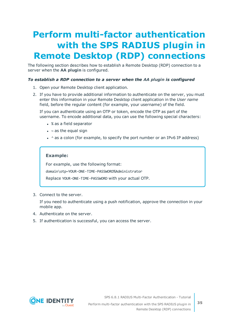# <span id="page-34-0"></span>**Perform multi-factor authentication with the SPS RADIUS plugin in Remote Desktop (RDP) connections**

The following section describes how to establish a Remote Desktop (RDP) connection to a server when the **AA plugin** is configured.

### *To establish a RDP connection to a server when the AA plugin is configured*

- 1. Open your Remote Desktop client application.
- 2. If you have to provide additional information to authenticate on the server, you must enter this information in your Remote Desktop client application in the *User name* field, before the regular content (for example, your username) of the field.

If you can authenticate using an OTP or token, encode the OTP as part of the username. To encode additional data, you can use the following special characters:

- % as a field separator
- $\bullet$  ~ as the equal sign
- $\cdot$  ^ as a colon (for example, to specify the port number or an IPv6 IP address)

### **Example:**

For example, use the following format:

domain\otp~YOUR-ONE-TIME-PASSWORD%Administrator

Replace YOUR-ONE-TIME-PASSWORD with your actual OTP.

3. Connect to the server.

If you need to authenticate using a push notification, approve the connection in your mobile app.

- 4. Authenticate on the server.
- 5. If authentication is successful, you can access the server.



SPS 6.8.1 RADIUS Multi-Factor Authentication - Tutorial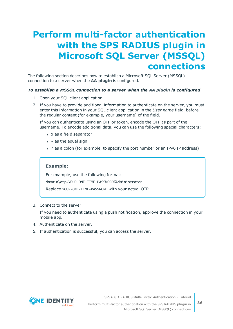## <span id="page-35-0"></span>**Perform multi-factor authentication with the SPS RADIUS plugin in Microsoft SQL Server (MSSQL) connections**

The following section describes how to establish a Microsoft SQL Server (MSSQL) connection to a server when the **AA plugin** is configured.

### *To establish a MSSQL connection to a server when the AA plugin is configured*

- 1. Open your SQL client application.
- 2. If you have to provide additional information to authenticate on the server, you must enter this information in your SQL client application in the *User name* field, before the regular content (for example, your username) of the field.

If you can authenticate using an OTP or token, encode the OTP as part of the username. To encode additional data, you can use the following special characters:

- % as a field separator
- $\bullet$  ~ as the equal sign
- $\cdot$  ^ as a colon (for example, to specify the port number or an IPv6 IP address)

### **Example:**

For example, use the following format: domain\otp~YOUR-ONE-TIME-PASSWORD%Administrator

Replace YOUR-ONE-TIME-PASSWORD with your actual OTP.

3. Connect to the server.

If you need to authenticate using a push notification, approve the connection in your mobile app.

- 4. Authenticate on the server.
- 5. If authentication is successful, you can access the server.



SPS 6.8.1 RADIUS Multi-Factor Authentication - Tutorial